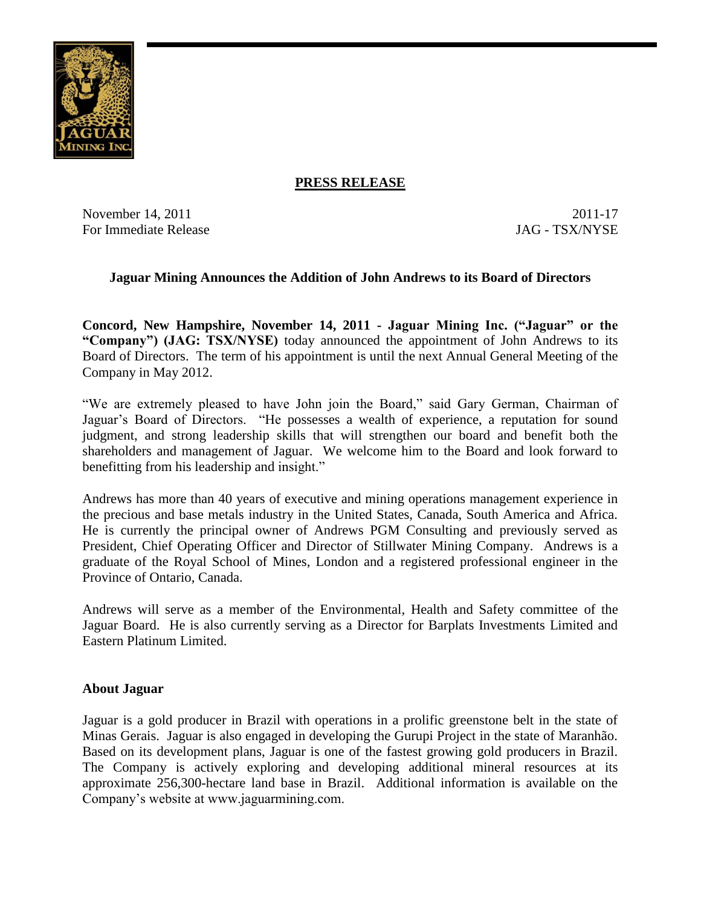

## **PRESS RELEASE**

November 14, 2011 2011-17 For Immediate Release JAG - TSX/NYSE

## **Jaguar Mining Announces the Addition of John Andrews to its Board of Directors**

**Concord, New Hampshire, November 14, 2011 - Jaguar Mining Inc. ("Jaguar" or the "Company") (JAG: TSX/NYSE)** today announced the appointment of John Andrews to its Board of Directors. The term of his appointment is until the next Annual General Meeting of the Company in May 2012.

"We are extremely pleased to have John join the Board," said Gary German, Chairman of Jaguar's Board of Directors. "He possesses a wealth of experience, a reputation for sound judgment, and strong leadership skills that will strengthen our board and benefit both the shareholders and management of Jaguar. We welcome him to the Board and look forward to benefitting from his leadership and insight."

Andrews has more than 40 years of executive and mining operations management experience in the precious and base metals industry in the United States, Canada, South America and Africa. He is currently the principal owner of Andrews PGM Consulting and previously served as President, Chief Operating Officer and Director of Stillwater Mining Company. Andrews is a graduate of the Royal School of Mines, London and a registered professional engineer in the Province of Ontario, Canada.

Andrews will serve as a member of the Environmental, Health and Safety committee of the Jaguar Board. He is also currently serving as a Director for Barplats Investments Limited and Eastern Platinum Limited.

## **About Jaguar**

Jaguar is a gold producer in Brazil with operations in a prolific greenstone belt in the state of Minas Gerais. Jaguar is also engaged in developing the Gurupi Project in the state of Maranhão. Based on its development plans, Jaguar is one of the fastest growing gold producers in Brazil. The Company is actively exploring and developing additional mineral resources at its approximate 256,300-hectare land base in Brazil. Additional information is available on the Company's website at www.jaguarmining.com.